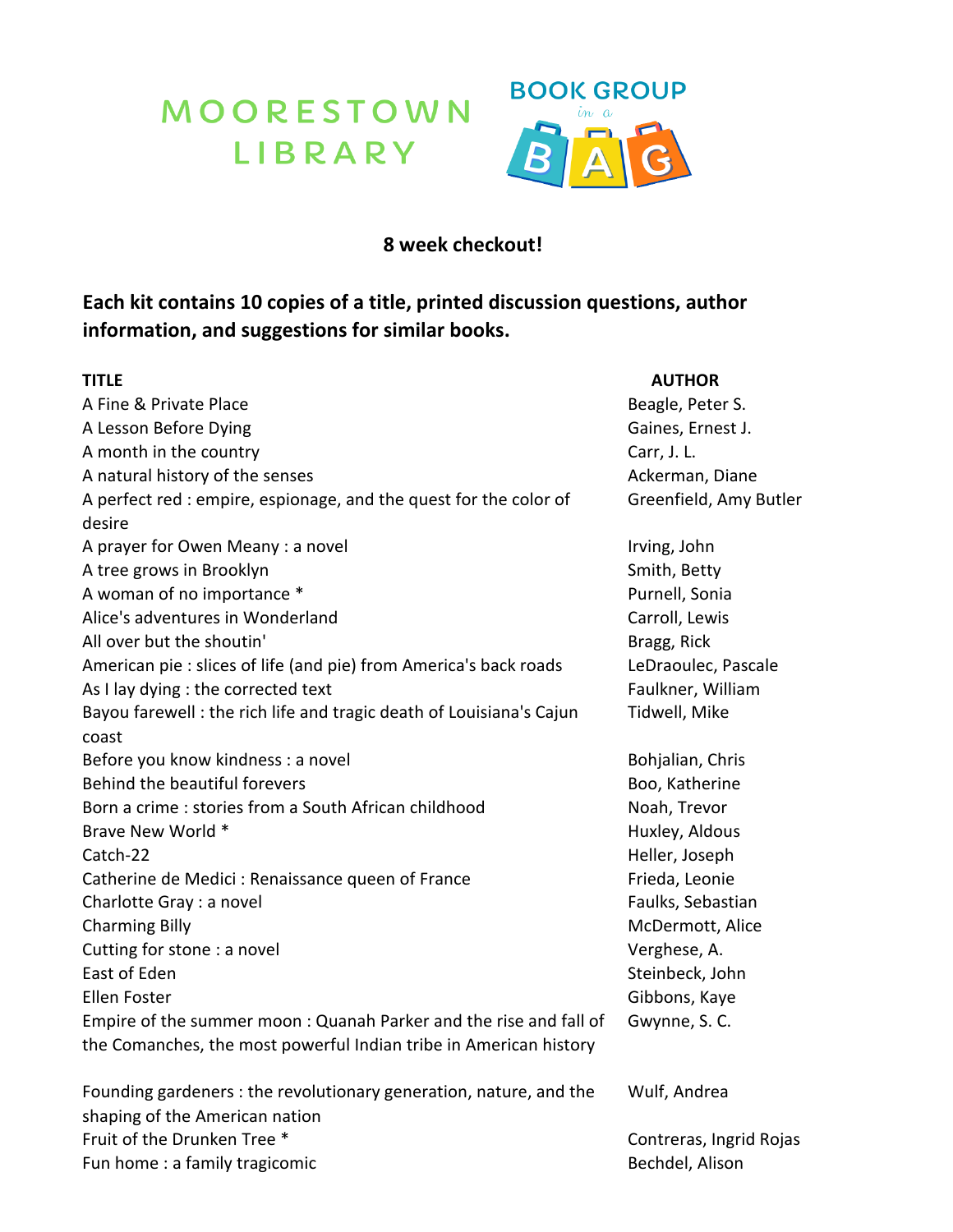## MOORESTOWN<br>LIBRARY



## **8 week checkout!**

## **Each kit contains 10 copies of a title, printed discussion questions, author information, and suggestions for similar books.**

| TITLE                                                               | <b>AUTHOR</b>           |
|---------------------------------------------------------------------|-------------------------|
| A Fine & Private Place                                              | Beagle, Peter S.        |
| A Lesson Before Dying                                               | Gaines, Ernest J.       |
| A month in the country                                              | Carr, J. L.             |
| A natural history of the senses                                     | Ackerman, Diane         |
| A perfect red : empire, espionage, and the quest for the color of   | Greenfield, Amy Butler  |
| desire                                                              |                         |
| A prayer for Owen Meany : a novel                                   | Irving, John            |
| A tree grows in Brooklyn                                            | Smith, Betty            |
| A woman of no importance *                                          | Purnell, Sonia          |
| Alice's adventures in Wonderland                                    | Carroll, Lewis          |
| All over but the shoutin'                                           | Bragg, Rick             |
| American pie : slices of life (and pie) from America's back roads   | LeDraoulec, Pascale     |
| As I lay dying : the corrected text                                 | Faulkner, William       |
| Bayou farewell: the rich life and tragic death of Louisiana's Cajun | Tidwell, Mike           |
| coast                                                               |                         |
| Before you know kindness : a novel                                  | Bohjalian, Chris        |
| Behind the beautiful forevers                                       | Boo, Katherine          |
| Born a crime : stories from a South African childhood               | Noah, Trevor            |
| Brave New World *                                                   | Huxley, Aldous          |
| Catch-22                                                            | Heller, Joseph          |
| Catherine de Medici : Renaissance queen of France                   | Frieda, Leonie          |
| Charlotte Gray : a novel                                            | Faulks, Sebastian       |
| <b>Charming Billy</b>                                               | McDermott, Alice        |
| Cutting for stone : a novel                                         | Verghese, A.            |
| East of Eden                                                        | Steinbeck, John         |
| <b>Ellen Foster</b>                                                 | Gibbons, Kaye           |
| Empire of the summer moon: Quanah Parker and the rise and fall of   | Gwynne, S. C.           |
| the Comanches, the most powerful Indian tribe in American history   |                         |
| Founding gardeners : the revolutionary generation, nature, and the  | Wulf, Andrea            |
| shaping of the American nation                                      |                         |
| Fruit of the Drunken Tree *                                         | Contreras, Ingrid Rojas |
| Fun home: a family tragicomic                                       | Bechdel, Alison         |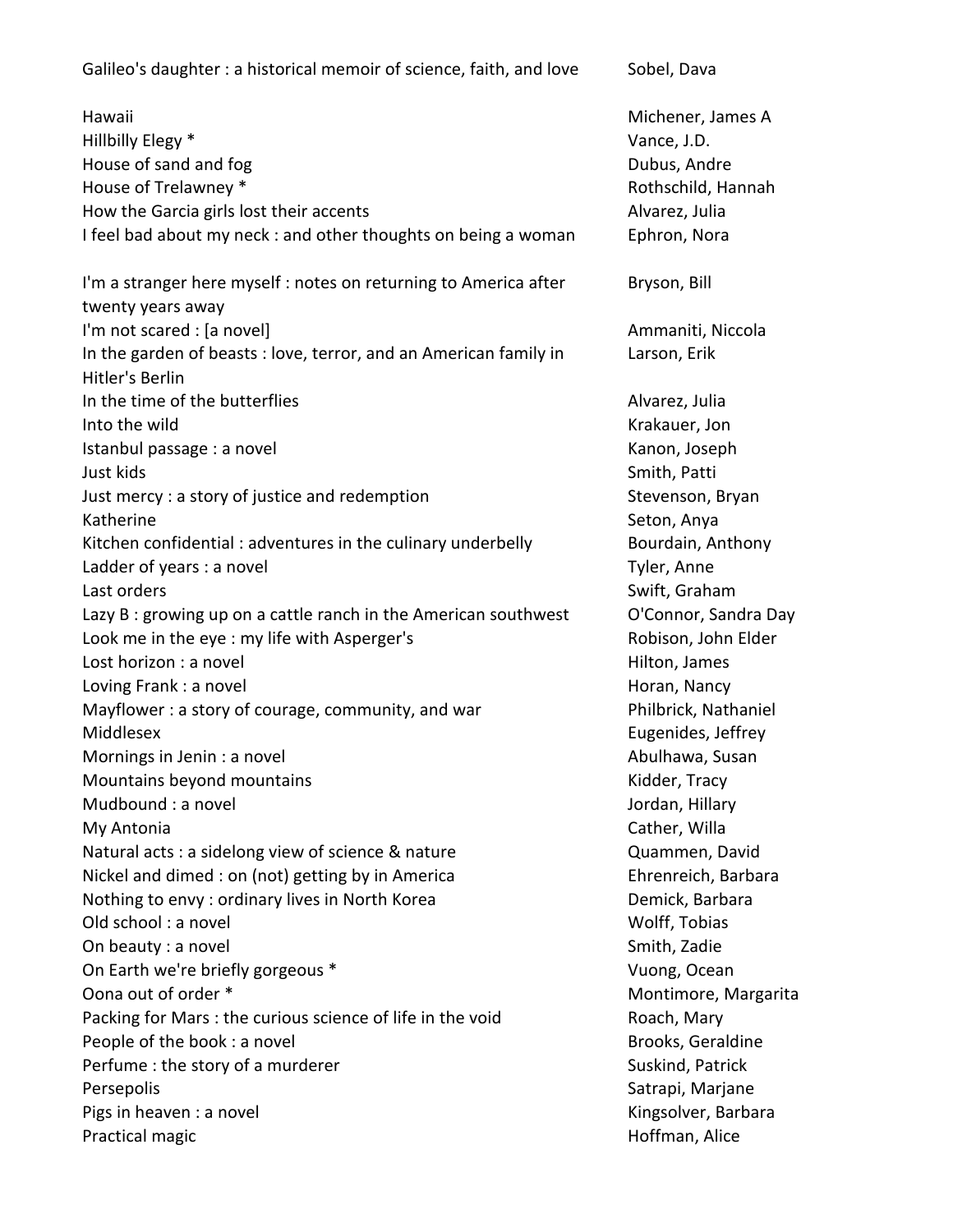Galileo's daughter : a historical memoir of science, faith, and love Sobel, Dava

Hawaii Michener, James A Hillbilly Elegy \* Vance, J.D. House of sand and fog Dubus, Andre House of Trelawney \* The Community of Trelawney \* The Community of Trelawney \* The Rothschild, Hannah How the Garcia girls lost their accents Alvarez, Julia I feel bad about my neck : and other thoughts on being a woman Ephron, Nora I'm a stranger here myself : notes on returning to America after twenty years away I'm not scared : [a novel] example a notice of the state of the Ammaniti, Niccola In the garden of beasts : love, terror, and an American family in Hitler's Berlin In the time of the butterflies Alvarez, Julia Into the wild **Into the wild**  $\blacksquare$ Istanbul passage : a novel and the Community Community Community Community Community Community Community Community Community Community Community Community Community Community Community Community Community Community Communi Just kids Smith, Patti Just mercy : a story of justice and redemption Stevenson, Bryan Katherine Seton, Anya Kitchen confidential : adventures in the culinary underbelly **Bourdain**, Anthony Ladder of years : a novel **Tyler, Anne** Last orders Swift, Graham Communication of the Swift, Graham Communication of the Swift, Graham Communication Lazy B : growing up on a cattle ranch in the American southwest O'Connor, Sandra Day Look me in the eye : my life with Asperger's The Robison, John Elder Lost horizon : a novel and Hilton, James and Hilton, James and Hilton, James and Hilton, James and Hilton, James Loving Frank : a novel **Horan, Nancy Transformation** Horan, Nancy Mayflower : a story of courage, community, and war Philbrick, Nathaniel Middlesex Eugenides, Jeffrey Mornings in Jenin : a novel **Abulhawa, Susan** Abulhawa, Susan Mountains beyond mountains Manuel Communisties and Mountains Kidder, Tracy Mudbound : a novel and the state of the state of the Jordan, Hillary My Antonia Cather, Willa Natural acts : a sidelong view of science & nature Theorem Cuammen, David Nickel and dimed : on (not) getting by in America France Ehrenreich, Barbara Nothing to envy : ordinary lives in North Korea **Demick, Barbara** Demick, Barbara Old school : a novel Wolff, Tobias On beauty : a novel state of the Smith, Zadie Smith, Zadie Smith, Zadie On Earth we're briefly gorgeous \* Vuong, Ocean Oona out of order \* The Controller of the Montimore, Margarita Packing for Mars : the curious science of life in the void Roach, Mary People of the book : a novel and Brooks, Geraldine Brooks, Geraldine Perfume : the story of a murderer Suskind, Patrick Persepolis **Satrapi, Marjane** Satrapi, Marjane Satrapi, Marjane Satrapi, Marjane Pigs in heaven : a novel **Kingsolver, Barbara** Kingsolver, Barbara Practical magic **Hoffman**, Alice

Bryson, Bill Larson, Erik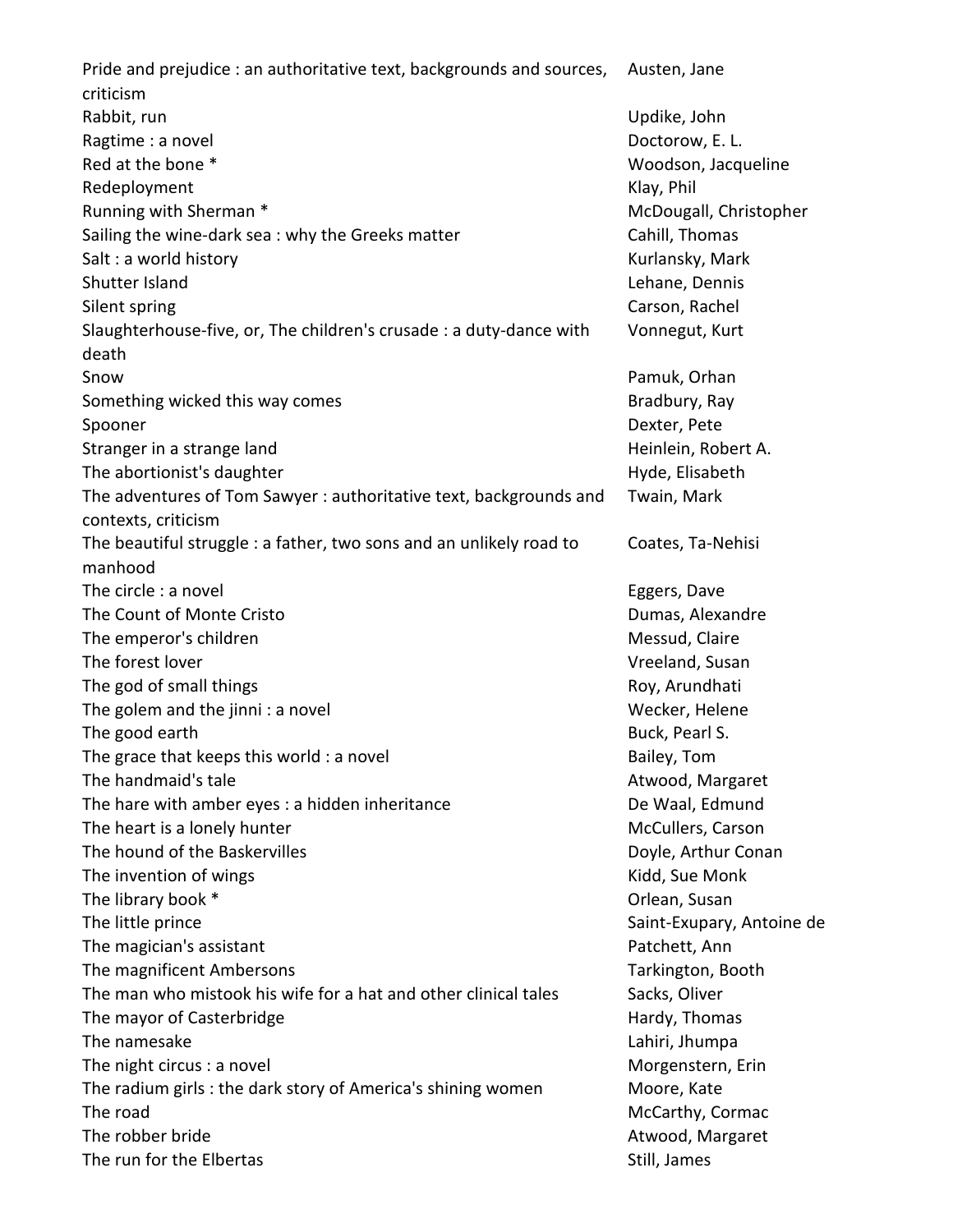Pride and prejudice : an authoritative text, backgrounds and sources, criticism Austen, Jane Rabbit, run Updike, John Updike, John Updike, John Updike, John Updike, John Updike, John Updike, John Updike, John Updike, John Updike, John Updike, John Updike, John Updike, John Updike, John Updike, John Updike, John Up Ragtime : a novel and the contract of the contract of the contract of the Doctorow, E. L. Red at the bone  $*$  Woodson, Jacqueline Redeployment **Klay, Philosophia** Klay, Philosophia Klay, Philosophia Klay, Philosophia Klay, Philosophia Klay, Phil Running with Sherman \* McDougall, Christopher McDougall, Christopher Sailing the wine-dark sea: why the Greeks matter Theorem Cahill, Thomas Salt : a world history **Kurlansky, Mark** Salt : a world history **Kurlansky, Mark** Shutter Island Lehane, Dennis Silent spring Carson, Rachel Carson, Rachel Carson, Rachel Carson, Rachel Carson, Rachel Carson, Rachel Carson, Rachel Carson, Rachel Carson, Rachel Carson, Rachel Carson, Rachel Carson, Rachel Carson, Rachel Carson, Rache Slaughterhouse-five, or, The children's crusade : a duty-dance with death Vonnegut, Kurt Snow Pamuk, Orhan Something wicked this way comes **Bradbury, Ray** Bradbury, Ray Spooner and Dexter, Peters, 2006, 2007, 2008, 2007, 2008, 2008, 2008, 2008, 2008, 2008, 2008, 2008, 2008, 200 Stranger in a strange land Heinlein, Robert A. The abortionist's daughter **Hyde, Elisabeth** Hyde, Elisabeth The adventures of Tom Sawyer : authoritative text, backgrounds and contexts, criticism Twain, Mark The beautiful struggle : a father, two sons and an unlikely road to manhood Coates, Ta-Nehisi The circle : a novel **Eggers**, Dave The Count of Monte Cristo **Dumas**, Alexandre The emperor's children Messud, Claire and The emperor's children Messud, Claire The forest lover and the state of the forest lover and the state of the state of the vertex of the vertex of the vertex of the vertex of the vertex of the vertex of the vertex of the vertex of the vertex of the vertex of t The god of small things The god of small things Roy, Arundhati The golem and the jinni: a novel Wecker, Helene The good earth Buck, Pearl S. The grace that keeps this world : a novel example a set of the Bailey, Tom The handmaid's tale Atwood, Margaret Atwood, Margaret The hare with amber eyes : a hidden inheritance The De Waal, Edmund The heart is a lonely hunter McCullers, Carson McCullers, Carson The hound of the Baskervilles **Doyle, Arthur Conan** The invention of wings The invention of wings The invention of wings The invention of wings The invention of wings The invention of wings The invention of wings The invention of wings The invention of wings The invention o The library book \* The library book \* The library book \* The library book \* The library book \* The library book \* The library book \* The library book \* The library book \* The library book \* The library book \* The library b The little prince **Saint-Exupary**, Antoine de The magician's assistant **Patchett, Ann** Patchett, Ann The magnificent Ambersons The magnificent Ambersons Tarkington, Booth The man who mistook his wife for a hat and other clinical tales Sacks, Oliver The mayor of Casterbridge The mayor of Casterbridge Hardy, Thomas The namesake Lahiri, Jhumpa Lahiri, Jhumpa Lahiri, Jhumpa Lahiri, Jhumpa Lahiri, Jhumpa Lahiri, Jhumpa Lahiri, Jhumpa Lahiri, Jhumpa Lahiri, Jhumpa Lahiri, Jhumpa Lahiri, Jhumpa Lahiri, Jhumpa Lahiri, Jhumpa Lahiri, Jhumpa The night circus : a novel and a set of the matter of the Morgenstern, Erin Morgenstern, Erin The radium girls : the dark story of America's shining women Moore, Kate The road McCarthy, Cormac McCarthy, Cormac McCarthy, Cormac McCarthy, Cormac McCarthy, Cormac McCarthy, Cormac The robber bride Atwood, Margaret The run for the Elbertas Still, James Still, James Still, James Still, James Still, James Still, James Still, James